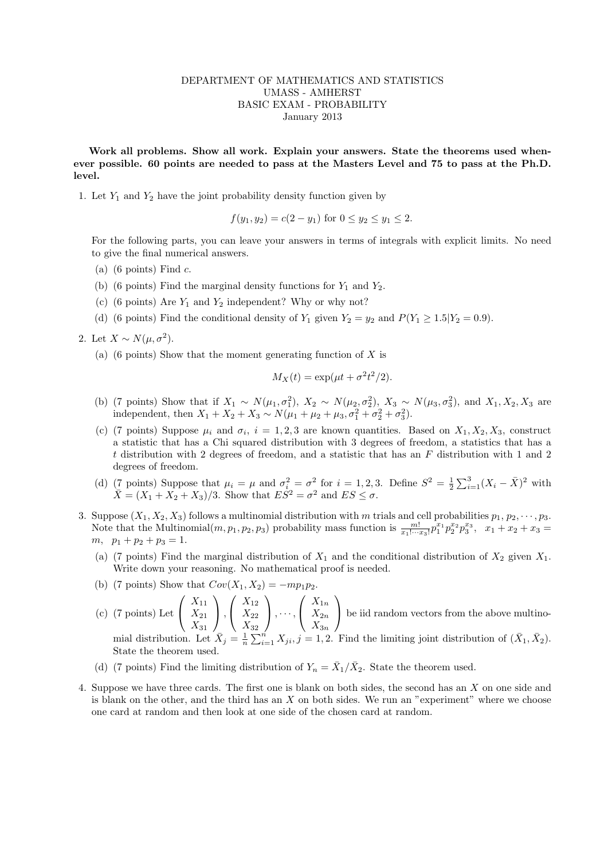## DEPARTMENT OF MATHEMATICS AND STATISTICS UMASS - AMHERST BASIC EXAM - PROBABILITY January 2013

Work all problems. Show all work. Explain your answers. State the theorems used whenever possible. 60 points are needed to pass at the Masters Level and 75 to pass at the Ph.D. level.

1. Let  $Y_1$  and  $Y_2$  have the joint probability density function given by

$$
f(y_1, y_2) = c(2 - y_1)
$$
 for  $0 \le y_2 \le y_1 \le 2$ .

For the following parts, you can leave your answers in terms of integrals with explicit limits. No need to give the final numerical answers.

- (a) (6 points) Find  $c$ .
- (b) (6 points) Find the marginal density functions for  $Y_1$  and  $Y_2$ .
- (c) (6 points) Are  $Y_1$  and  $Y_2$  independent? Why or why not?
- (d) (6 points) Find the conditional density of  $Y_1$  given  $Y_2 = y_2$  and  $P(Y_1 \ge 1.5|Y_2 = 0.9)$ .

2. Let 
$$
X \sim N(\mu, \sigma^2)
$$
.

(a) (6 points) Show that the moment generating function of  $X$  is

$$
M_X(t) = \exp(\mu t + \sigma^2 t^2/2).
$$

- (b) (7 points) Show that if  $X_1 \sim N(\mu_1, \sigma_1^2)$ ,  $X_2 \sim N(\mu_2, \sigma_2^2)$ ,  $X_3 \sim N(\mu_3, \sigma_3^2)$ , and  $X_1, X_2, X_3$  are independent, then  $X_1 + X_2 + X_3 \sim N(\mu_1 + \mu_2 + \mu_3, \sigma_1^2 + \sigma_2^2 + \sigma_3^2)$ .
- (c) (7 points) Suppose  $\mu_i$  and  $\sigma_i$ ,  $i = 1, 2, 3$  are known quantities. Based on  $X_1, X_2, X_3$ , construct a statistic that has a Chi squared distribution with 3 degrees of freedom, a statistics that has a t distribution with 2 degrees of freedom, and a statistic that has an F distribution with 1 and 2 degrees of freedom.
- (d) (7 points) Suppose that  $\mu_i = \mu$  and  $\sigma_i^2 = \sigma_i^2$  for  $i = 1, 2, 3$ . Define  $S^2 = \frac{1}{2} \sum_{i=1}^3 (X_i \bar{X})^2$  with  $\overline{X} = (X_1 + X_2 + X_3)/3$ . Show that  $E S^2 = \sigma^2$  and  $E S \le \sigma$ .
- 3. Suppose  $(X_1, X_2, X_3)$  follows a multinomial distribution with m trials and cell probabilities  $p_1, p_2, \dots, p_3$ . Note that the Multinomial $(m, p_1, p_2, p_3)$  probability mass function is  $\frac{m!}{x_1! \cdots x_3!} p_1^{x_1} p_2^{x_2} p_3^{x_3}, x_1 + x_2 + x_3 =$  $m, p_1 + p_2 + p_3 = 1.$ 
	- (a) (7 points) Find the marginal distribution of  $X_1$  and the conditional distribution of  $X_2$  given  $X_1$ . Write down your reasoning. No mathematical proof is needed.
	- (b) (7 points) Show that  $Cov(X_1, X_2) = -mp_1p$
	- (c) (7 points) Let  $\sqrt{ }$  $\overline{1}$  $X_{11}$  $X_{21}$  $X_{31}$  $\setminus$  $\vert$ ,  $\sqrt{ }$  $\mathcal{L}$  $X_{12}$  $X_{22}$  $X_{32}$  $\setminus$  $\Big\}$ ,  $\cdots$ ,  $\sqrt{ }$  $\mathcal{L}$  $X_{1n}$  $X_{2n}$  $X_{3n}$  $\setminus$  be iid random vectors from the above multinomial distribution. Let  $\overline{X}_j = \frac{1}{n} \sum_{i=1}^n X_{ji}, j = 1, 2$ . Find the limiting joint distribution of  $(\overline{X}_1, \overline{X}_2)$ . State the theorem used.
	- (d) (7 points) Find the limiting distribution of  $Y_n = \overline{X}_1/\overline{X}_2$ . State the theorem used.
- 4. Suppose we have three cards. The first one is blank on both sides, the second has an X on one side and is blank on the other, and the third has an  $X$  on both sides. We run an "experiment" where we choose one card at random and then look at one side of the chosen card at random.